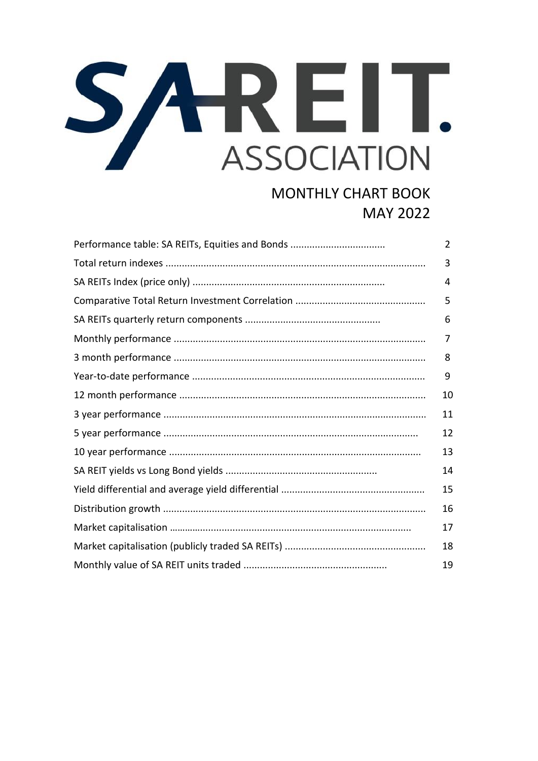## SAREIT. **ASSOCIATION**

## **MONTHLY CHART BOOK MAY 2022**

| Performance table: SA REITs, Equities and Bonds | $\overline{2}$ |
|-------------------------------------------------|----------------|
|                                                 | 3              |
|                                                 | 4              |
|                                                 | 5              |
|                                                 | 6              |
|                                                 | 7              |
|                                                 | 8              |
|                                                 | 9              |
|                                                 | 10             |
|                                                 | 11             |
|                                                 | 12             |
|                                                 | 13             |
|                                                 | 14             |
|                                                 | 15             |
|                                                 | 16             |
|                                                 | 17             |
|                                                 | 18             |
|                                                 | 19             |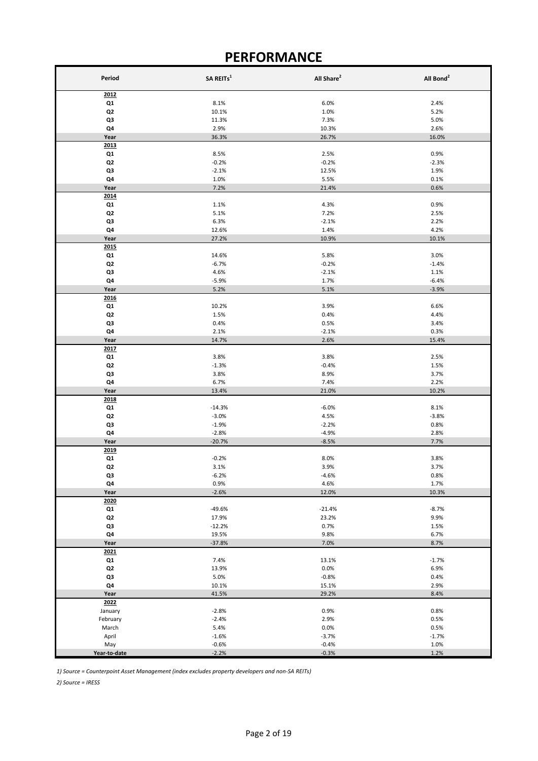## **PERFORMANCE**

| Period         | SA REITs <sup>1</sup> | All Share <sup>2</sup> | All Bond <sup>2</sup> |
|----------------|-----------------------|------------------------|-----------------------|
| 2012           |                       |                        |                       |
| Q1             | 8.1%                  | 6.0%                   | 2.4%                  |
| Q2             | 10.1%                 | 1.0%                   | 5.2%                  |
| Q3             | 11.3%                 | 7.3%                   | 5.0%                  |
| Q4             | 2.9%                  | 10.3%                  | 2.6%                  |
| Year           | 36.3%                 | 26.7%                  | 16.0%                 |
| 2013           |                       |                        |                       |
| Q1             | 8.5%                  | 2.5%                   | 0.9%                  |
| Q2             | $-0.2%$               | $-0.2%$                | $-2.3%$               |
| Q3<br>Q4       | $-2.1%$<br>1.0%       | 12.5%<br>5.5%          | 1.9%<br>0.1%          |
| Year           | 7.2%                  | 21.4%                  | 0.6%                  |
| 2014           |                       |                        |                       |
| Q1             | 1.1%                  | 4.3%                   | 0.9%                  |
| Q <sub>2</sub> | 5.1%                  | 7.2%                   | 2.5%                  |
| Q3             | 6.3%                  | $-2.1%$                | 2.2%                  |
| Q4             | 12.6%                 | 1.4%                   | 4.2%                  |
| Year           | 27.2%                 | 10.9%                  | 10.1%                 |
| 2015           |                       |                        |                       |
| Q1             | 14.6%                 | 5.8%                   | 3.0%                  |
| Q <sub>2</sub> | $-6.7%$               | $-0.2%$                | $-1.4%$               |
| Q3             | 4.6%                  | $-2.1%$                | 1.1%                  |
| Q4<br>Year     | $-5.9%$<br>5.2%       | 1.7%<br>5.1%           | $-6.4%$<br>$-3.9%$    |
| 2016           |                       |                        |                       |
| Q1             | 10.2%                 | 3.9%                   | 6.6%                  |
| Q <sub>2</sub> | 1.5%                  | 0.4%                   | 4.4%                  |
| Q3             | 0.4%                  | 0.5%                   | 3.4%                  |
| Q4             | 2.1%                  | $-2.1%$                | 0.3%                  |
| Year           | 14.7%                 | 2.6%                   | 15.4%                 |
| 2017           |                       |                        |                       |
| Q1             | 3.8%                  | 3.8%                   | 2.5%                  |
| Q <sub>2</sub> | $-1.3%$               | $-0.4%$                | 1.5%                  |
| Q3             | 3.8%                  | 8.9%                   | 3.7%                  |
| Q4             | 6.7%                  | 7.4%                   | 2.2%                  |
| Year<br>2018   | 13.4%                 | 21.0%                  | 10.2%                 |
| Q1             | $-14.3%$              | $-6.0%$                | 8.1%                  |
| Q <sub>2</sub> | $-3.0%$               | 4.5%                   | $-3.8%$               |
| Q3             | $-1.9%$               | $-2.2%$                | 0.8%                  |
| Q4             | $-2.8%$               | $-4.9%$                | 2.8%                  |
| Year           | $-20.7%$              | $-8.5%$                | 7.7%                  |
| 2019           |                       |                        |                       |
| Q1             | $-0.2%$               | 8.0%                   | 3.8%                  |
| Q <sub>2</sub> | 3.1%                  | 3.9%                   | 3.7%                  |
| Q3             | $-6.2%$<br>0.9%       | $-4.6%$                | 0.8%<br>1.7%          |
| Q4<br>Year     | $-2.6%$               | 4.6%<br>12.0%          | 10.3%                 |
| 2020           |                       |                        |                       |
| Q1             | $-49.6%$              | $-21.4%$               | $-8.7%$               |
| Q2             | 17.9%                 | 23.2%                  | 9.9%                  |
| Q3             | $-12.2%$              | 0.7%                   | 1.5%                  |
| Q4             | 19.5%                 | 9.8%                   | 6.7%                  |
| Year           | $-37.8%$              | 7.0%                   | 8.7%                  |
| 2021           |                       |                        |                       |
| Q1             | 7.4%                  | 13.1%                  | $-1.7%$               |
| Q2             | 13.9%                 | 0.0%                   | 6.9%                  |
| Q3             | 5.0%                  | $-0.8%$                | 0.4%                  |
| Q4<br>Year     | 10.1%<br>41.5%        | 15.1%<br>29.2%         | 2.9%<br>8.4%          |
| 2022           |                       |                        |                       |
| January        | $-2.8%$               | 0.9%                   | 0.8%                  |
| February       | $-2.4%$               | 2.9%                   | 0.5%                  |
| March          | 5.4%                  | 0.0%                   | 0.5%                  |
| April          | $-1.6%$               | $-3.7%$                | $-1.7%$               |
| May            | $-0.6%$               | $-0.4%$                | 1.0%                  |
| Year-to-date   | $-2.2%$               | $-0.3%$                | 1.2%                  |

*1) Source = Counterpoint Asset Management (index excludes property developers and non-SA REITs)*

*2) Source = IRESS*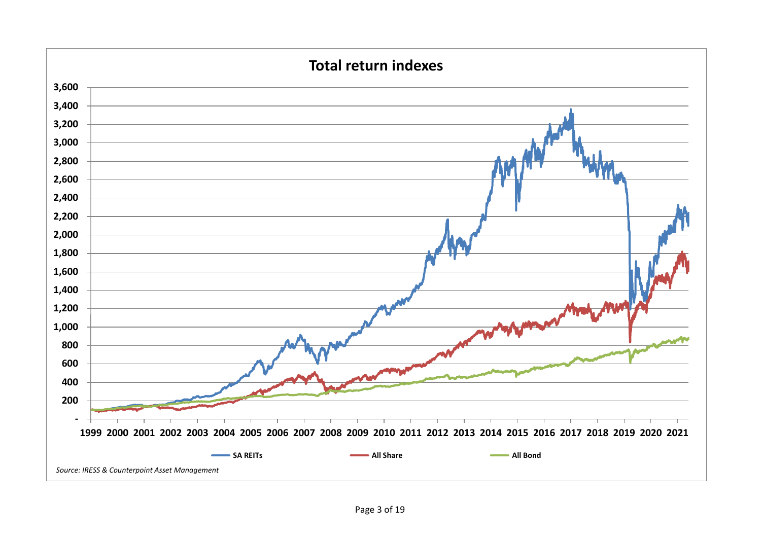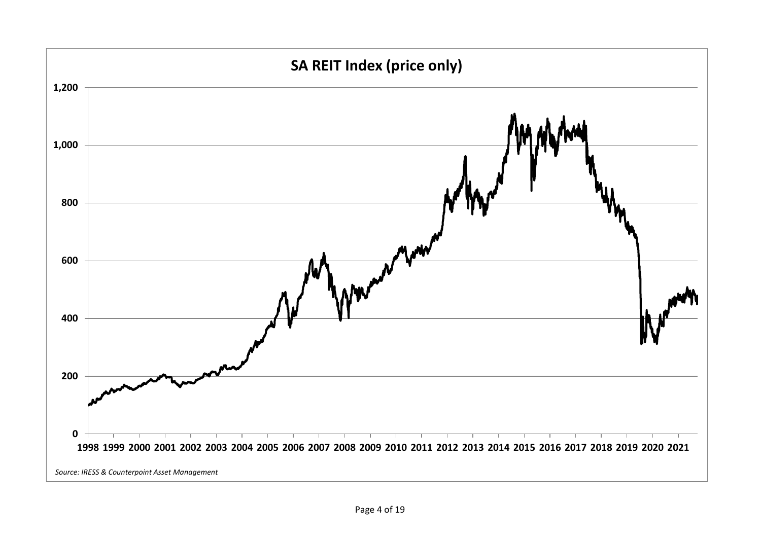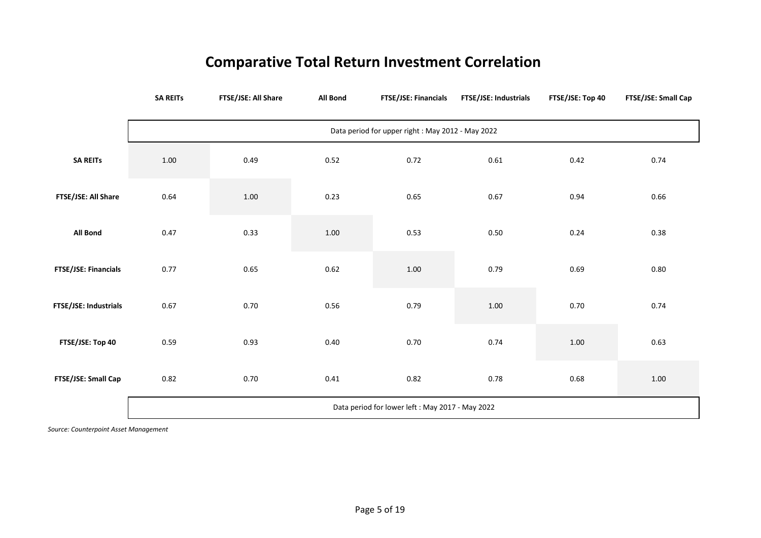## **Comparative Total Return Investment Correlation**

|                       | <b>SA REITS</b>                                   | FTSE/JSE: All Share | <b>All Bond</b> | FTSE/JSE: Financials | FTSE/JSE: Industrials | FTSE/JSE: Top 40 | FTSE/JSE: Small Cap |  |  |
|-----------------------|---------------------------------------------------|---------------------|-----------------|----------------------|-----------------------|------------------|---------------------|--|--|
|                       | Data period for upper right : May 2012 - May 2022 |                     |                 |                      |                       |                  |                     |  |  |
| <b>SA REITS</b>       | 1.00                                              | 0.49                | 0.52            | 0.72                 | 0.61                  | 0.42             | 0.74                |  |  |
| FTSE/JSE: All Share   | 0.64                                              | 1.00                | 0.23            | 0.65                 | 0.67                  | 0.94             | 0.66                |  |  |
| All Bond              | 0.47                                              | 0.33                | 1.00            | 0.53                 | 0.50                  | 0.24             | 0.38                |  |  |
| FTSE/JSE: Financials  | 0.77                                              | 0.65                | 0.62            | $1.00\,$             | 0.79                  | 0.69             | 0.80                |  |  |
| FTSE/JSE: Industrials | 0.67                                              | 0.70                | 0.56            | 0.79                 | 1.00                  | 0.70             | 0.74                |  |  |
| FTSE/JSE: Top 40      | 0.59                                              | 0.93                | 0.40            | 0.70                 | 0.74                  | 1.00             | 0.63                |  |  |
| FTSE/JSE: Small Cap   | 0.82                                              | 0.70                | 0.41            | 0.82                 | 0.78                  | 0.68             | 1.00                |  |  |
|                       | Data period for lower left : May 2017 - May 2022  |                     |                 |                      |                       |                  |                     |  |  |

*Source: Counterpoint Asset Management*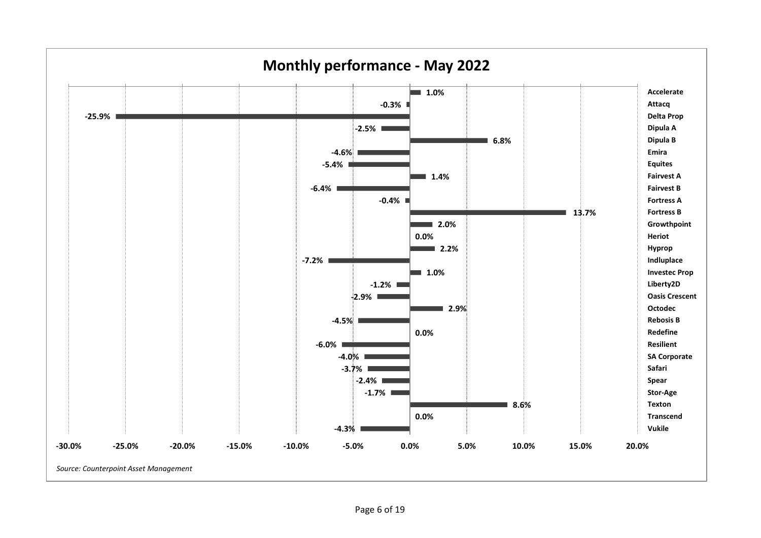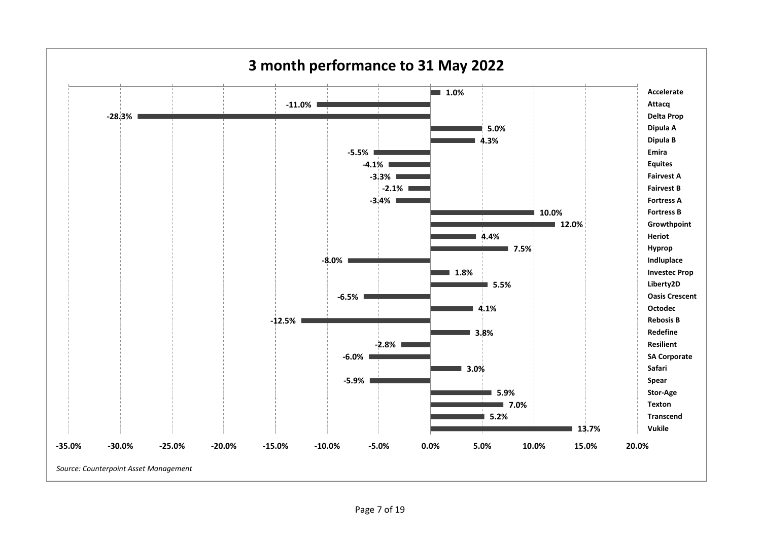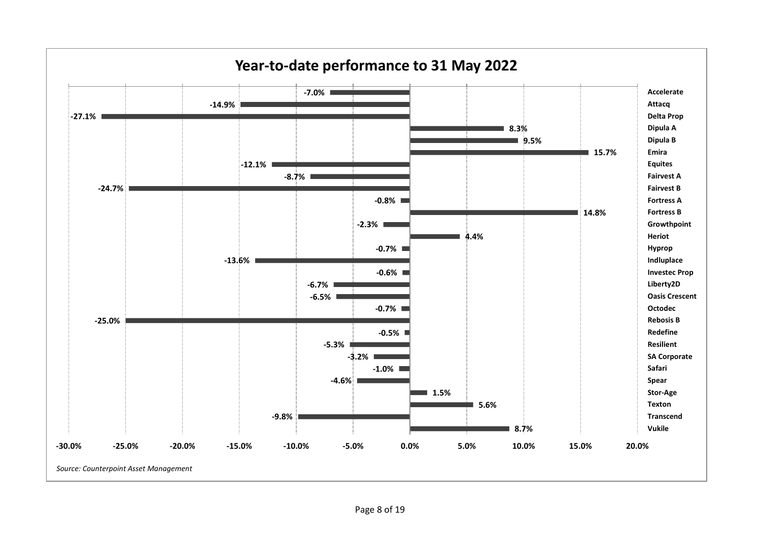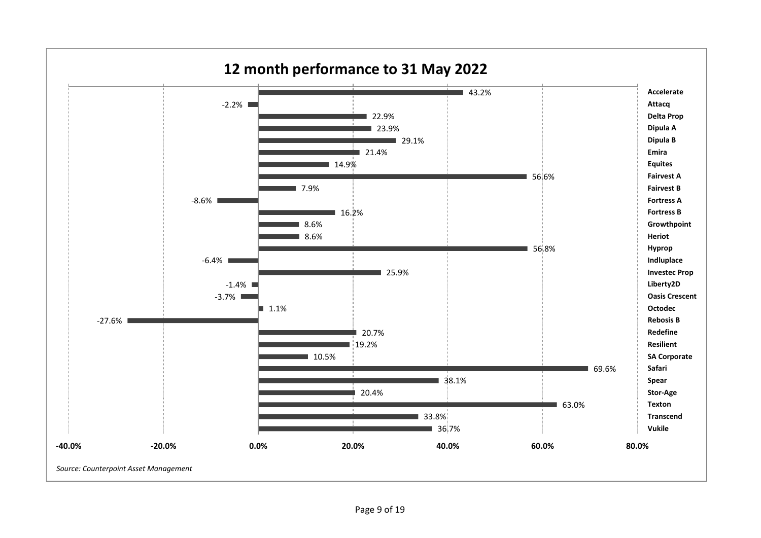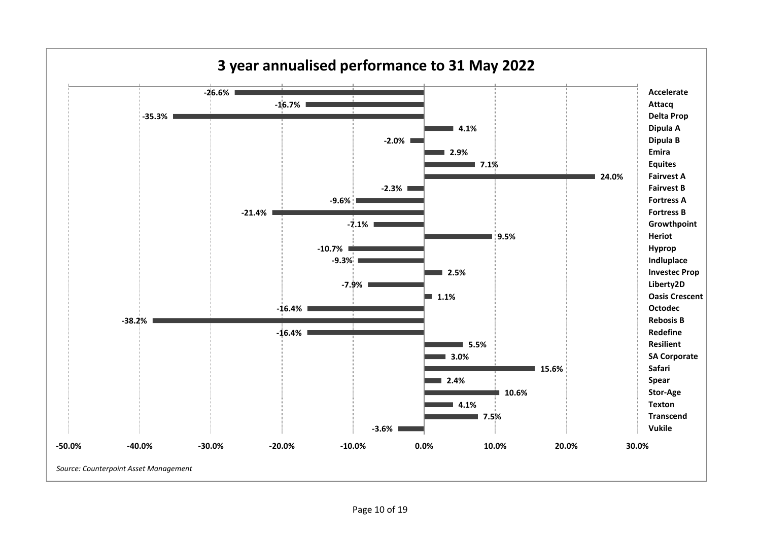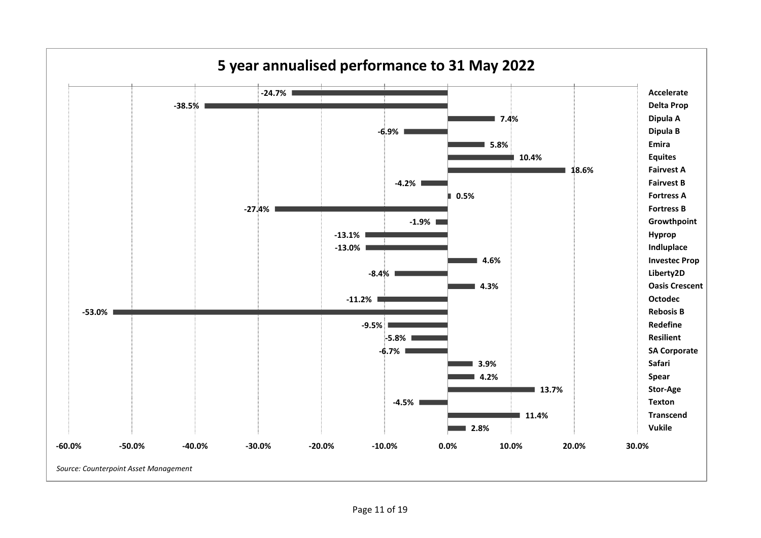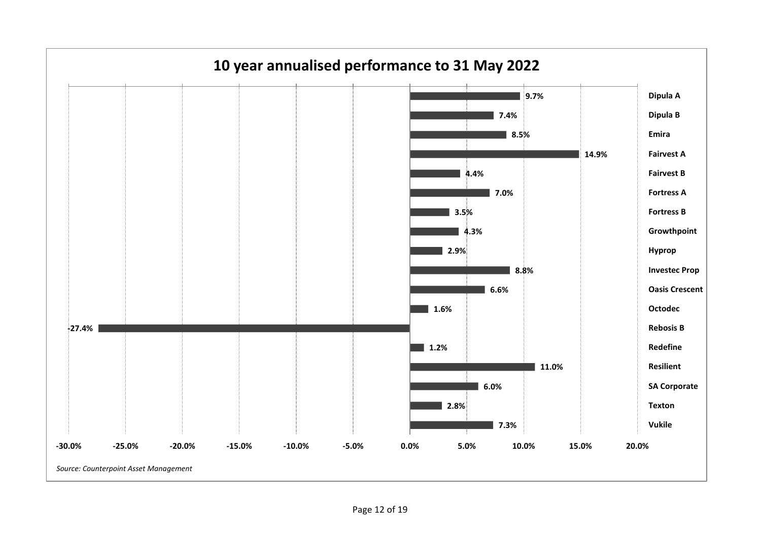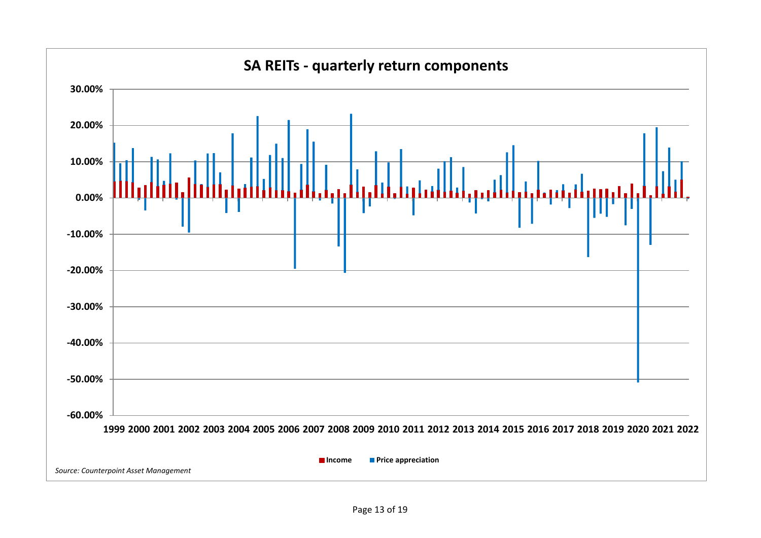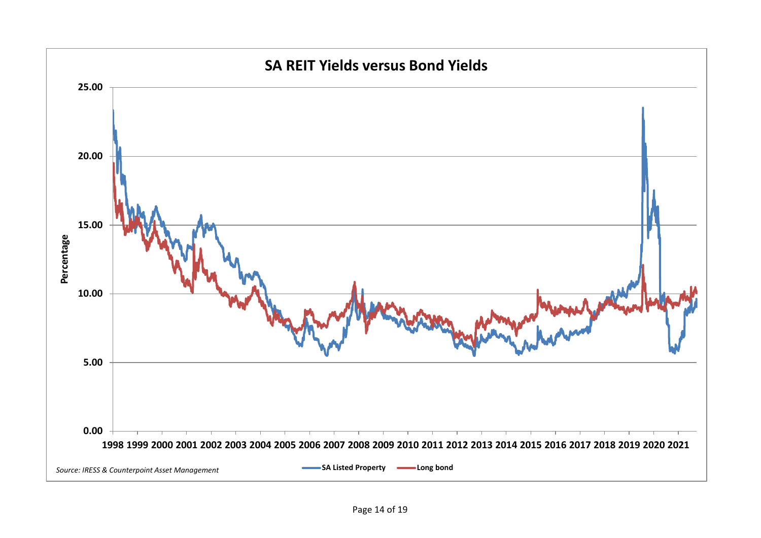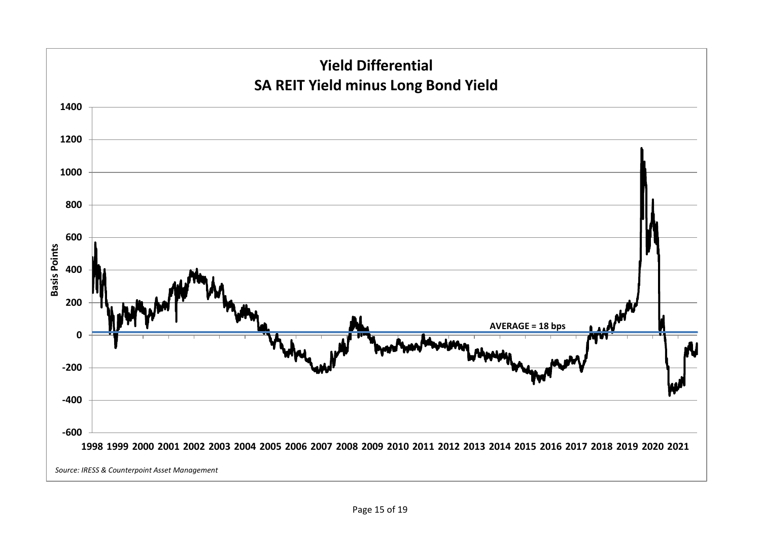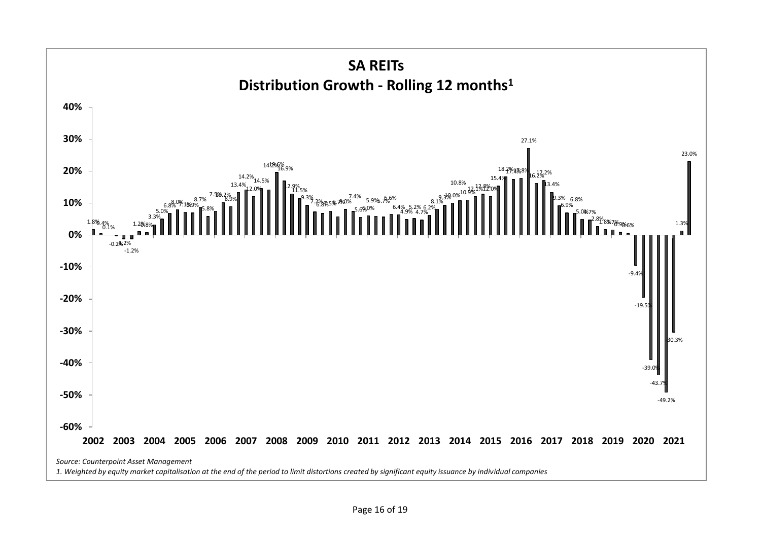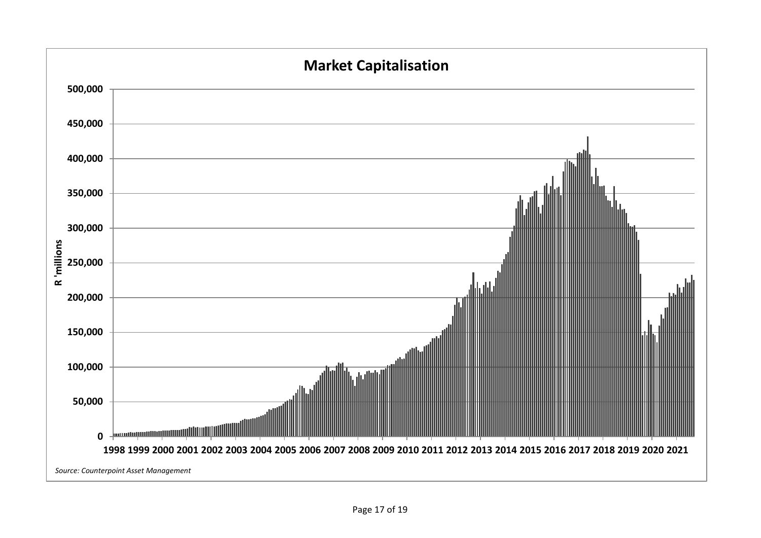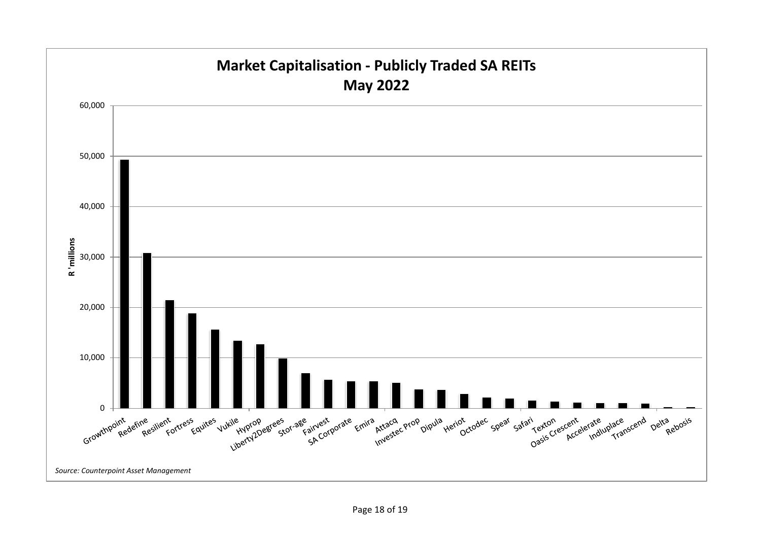